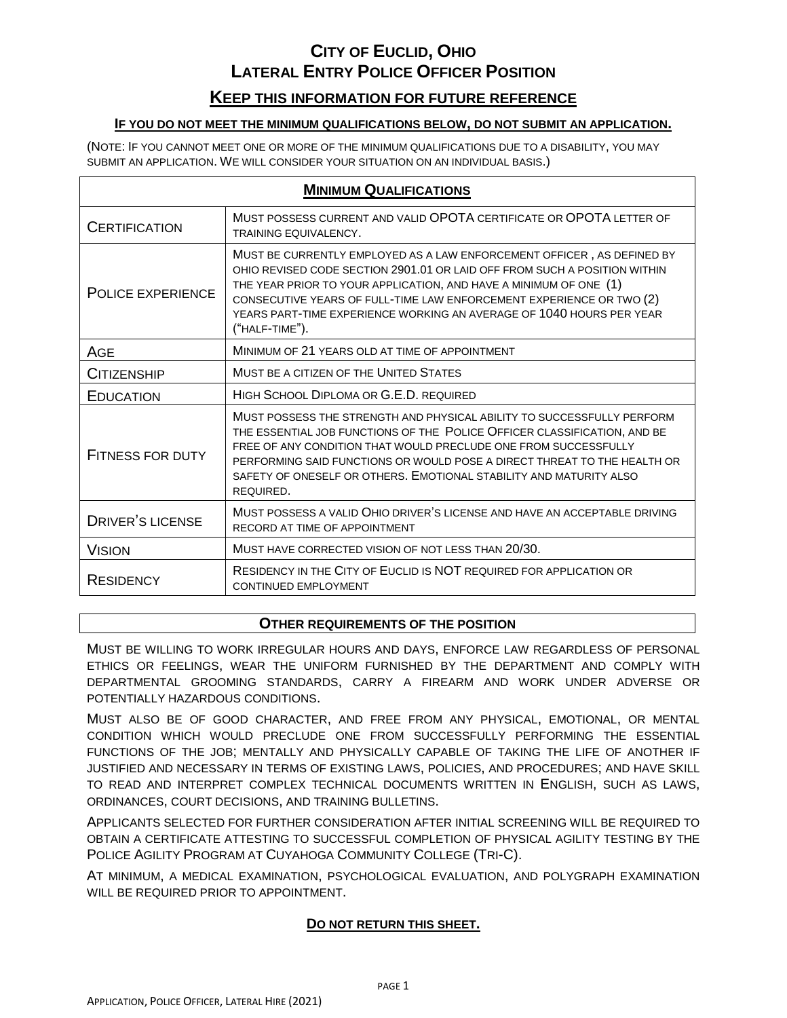### **KEEP THIS INFORMATION FOR FUTURE REFERENCE**

### **IF YOU DO NOT MEET THE MINIMUM QUALIFICATIONS BELOW, DO NOT SUBMIT AN APPLICATION.**

(NOTE: IF YOU CANNOT MEET ONE OR MORE OF THE MINIMUM QUALIFICATIONS DUE TO A DISABILITY, YOU MAY SUBMIT AN APPLICATION. WE WILL CONSIDER YOUR SITUATION ON AN INDIVIDUAL BASIS.)

| <b>MINIMUM QUALIFICATIONS</b> |                                                                                                                                                                                                                                                                                                                                                                                            |  |  |  |  |
|-------------------------------|--------------------------------------------------------------------------------------------------------------------------------------------------------------------------------------------------------------------------------------------------------------------------------------------------------------------------------------------------------------------------------------------|--|--|--|--|
| <b>CERTIFICATION</b>          | MUST POSSESS CURRENT AND VALID OPOTA CERTIFICATE OR OPOTA LETTER OF<br><b>TRAINING EQUIVALENCY.</b>                                                                                                                                                                                                                                                                                        |  |  |  |  |
| POLICE EXPERIENCE             | MUST BE CURRENTLY EMPLOYED AS A LAW ENFORCEMENT OFFICER, AS DEFINED BY<br>OHIO REVISED CODE SECTION 2901.01 OR LAID OFF FROM SUCH A POSITION WITHIN<br>THE YEAR PRIOR TO YOUR APPLICATION, AND HAVE A MINIMUM OF ONE (1)<br>CONSECUTIVE YEARS OF FULL-TIME LAW ENFORCEMENT EXPERIENCE OR TWO (2)<br>YEARS PART-TIME EXPERIENCE WORKING AN AVERAGE OF 1040 HOURS PER YEAR<br>("HALF-TIME"). |  |  |  |  |
| AGE                           | MINIMUM OF 21 YEARS OLD AT TIME OF APPOINTMENT                                                                                                                                                                                                                                                                                                                                             |  |  |  |  |
| CITIZENSHIP                   | MUST BE A CITIZEN OF THE UNITED STATES                                                                                                                                                                                                                                                                                                                                                     |  |  |  |  |
| EDUCATION                     | HIGH SCHOOL DIPLOMA OR G.E.D. REQUIRED                                                                                                                                                                                                                                                                                                                                                     |  |  |  |  |
| <b>FITNESS FOR DUTY</b>       | MUST POSSESS THE STRENGTH AND PHYSICAL ABILITY TO SUCCESSFULLY PERFORM<br>THE ESSENTIAL JOB FUNCTIONS OF THE POLICE OFFICER CLASSIFICATION, AND BE<br>FREE OF ANY CONDITION THAT WOULD PRECLUDE ONE FROM SUCCESSFULLY<br>PERFORMING SAID FUNCTIONS OR WOULD POSE A DIRECT THREAT TO THE HEALTH OR<br>SAFETY OF ONESELF OR OTHERS, EMOTIONAL STABILITY AND MATURITY ALSO<br>REQUIRED.       |  |  |  |  |
| <b>DRIVER'S LICENSE</b>       | MUST POSSESS A VALID OHIO DRIVER'S LICENSE AND HAVE AN ACCEPTABLE DRIVING<br>RECORD AT TIME OF APPOINTMENT                                                                                                                                                                                                                                                                                 |  |  |  |  |
| <b>VISION</b>                 | MUST HAVE CORRECTED VISION OF NOT LESS THAN 20/30.                                                                                                                                                                                                                                                                                                                                         |  |  |  |  |
| <b>RESIDENCY</b>              | RESIDENCY IN THE CITY OF EUCLID IS NOT REQUIRED FOR APPLICATION OR<br><b>CONTINUED EMPLOYMENT</b>                                                                                                                                                                                                                                                                                          |  |  |  |  |

#### **OTHER REQUIREMENTS OF THE POSITION**

MUST BE WILLING TO WORK IRREGULAR HOURS AND DAYS, ENFORCE LAW REGARDLESS OF PERSONAL ETHICS OR FEELINGS, WEAR THE UNIFORM FURNISHED BY THE DEPARTMENT AND COMPLY WITH DEPARTMENTAL GROOMING STANDARDS, CARRY A FIREARM AND WORK UNDER ADVERSE OR POTENTIALLY HAZARDOUS CONDITIONS.

MUST ALSO BE OF GOOD CHARACTER, AND FREE FROM ANY PHYSICAL, EMOTIONAL, OR MENTAL CONDITION WHICH WOULD PRECLUDE ONE FROM SUCCESSFULLY PERFORMING THE ESSENTIAL FUNCTIONS OF THE JOB; MENTALLY AND PHYSICALLY CAPABLE OF TAKING THE LIFE OF ANOTHER IF JUSTIFIED AND NECESSARY IN TERMS OF EXISTING LAWS, POLICIES, AND PROCEDURES; AND HAVE SKILL TO READ AND INTERPRET COMPLEX TECHNICAL DOCUMENTS WRITTEN IN ENGLISH, SUCH AS LAWS, ORDINANCES, COURT DECISIONS, AND TRAINING BULLETINS.

APPLICANTS SELECTED FOR FURTHER CONSIDERATION AFTER INITIAL SCREENING WILL BE REQUIRED TO OBTAIN A CERTIFICATE ATTESTING TO SUCCESSFUL COMPLETION OF PHYSICAL AGILITY TESTING BY THE POLICE AGILITY PROGRAM AT CUYAHOGA COMMUNITY COLLEGE (TRI-C).

AT MINIMUM, A MEDICAL EXAMINATION, PSYCHOLOGICAL EVALUATION, AND POLYGRAPH EXAMINATION WILL BE REQUIRED PRIOR TO APPOINTMENT.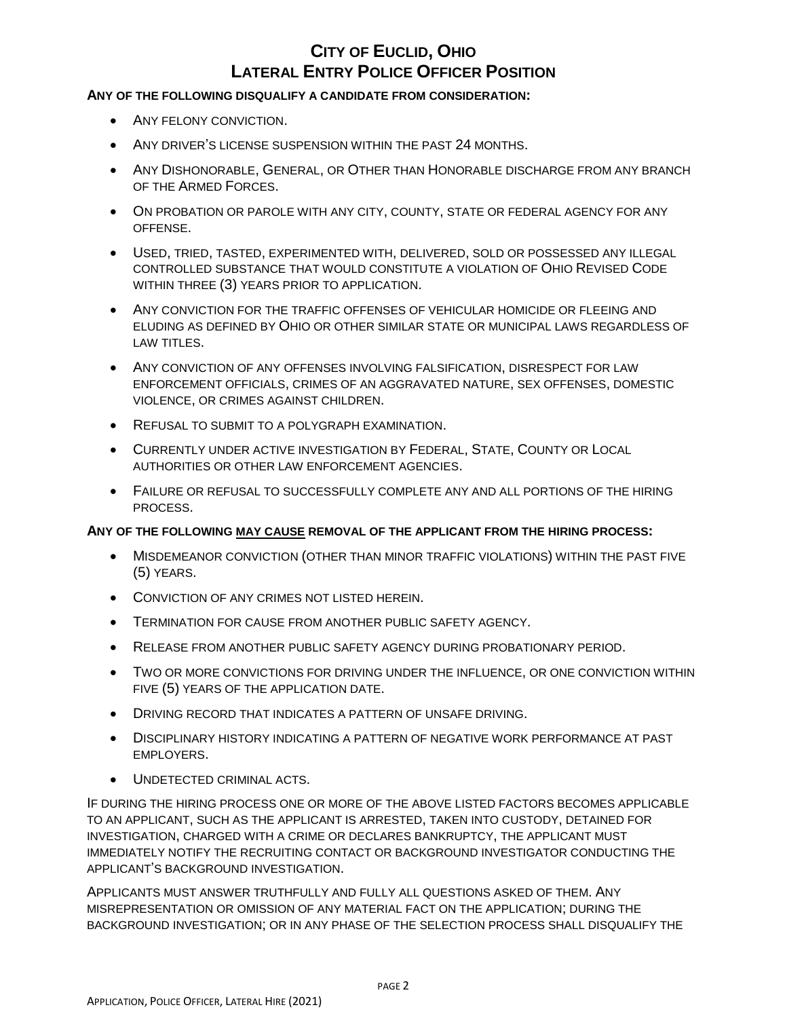#### **ANY OF THE FOLLOWING DISQUALIFY A CANDIDATE FROM CONSIDERATION:**

- ANY FELONY CONVICTION.
- ANY DRIVER'S LICENSE SUSPENSION WITHIN THE PAST 24 MONTHS.
- ANY DISHONORABLE, GENERAL, OR OTHER THAN HONORABLE DISCHARGE FROM ANY BRANCH OF THE ARMED FORCES.
- ON PROBATION OR PAROLE WITH ANY CITY, COUNTY, STATE OR FEDERAL AGENCY FOR ANY OFFENSE.
- USED, TRIED, TASTED, EXPERIMENTED WITH, DELIVERED, SOLD OR POSSESSED ANY ILLEGAL CONTROLLED SUBSTANCE THAT WOULD CONSTITUTE A VIOLATION OF OHIO REVISED CODE WITHIN THREE (3) YEARS PRIOR TO APPLICATION.
- ANY CONVICTION FOR THE TRAFFIC OFFENSES OF VEHICULAR HOMICIDE OR FLEEING AND ELUDING AS DEFINED BY OHIO OR OTHER SIMILAR STATE OR MUNICIPAL LAWS REGARDLESS OF LAW TITLES.
- ANY CONVICTION OF ANY OFFENSES INVOLVING FALSIFICATION, DISRESPECT FOR LAW ENFORCEMENT OFFICIALS, CRIMES OF AN AGGRAVATED NATURE, SEX OFFENSES, DOMESTIC VIOLENCE, OR CRIMES AGAINST CHILDREN.
- REFUSAL TO SUBMIT TO A POLYGRAPH EXAMINATION.
- CURRENTLY UNDER ACTIVE INVESTIGATION BY FEDERAL, STATE, COUNTY OR LOCAL AUTHORITIES OR OTHER LAW ENFORCEMENT AGENCIES.
- FAILURE OR REFUSAL TO SUCCESSFULLY COMPLETE ANY AND ALL PORTIONS OF THE HIRING PROCESS.

#### **ANY OF THE FOLLOWING MAY CAUSE REMOVAL OF THE APPLICANT FROM THE HIRING PROCESS:**

- MISDEMEANOR CONVICTION (OTHER THAN MINOR TRAFFIC VIOLATIONS) WITHIN THE PAST FIVE (5) YEARS.
- CONVICTION OF ANY CRIMES NOT LISTED HEREIN.
- TERMINATION FOR CAUSE FROM ANOTHER PUBLIC SAFETY AGENCY.
- RELEASE FROM ANOTHER PUBLIC SAFETY AGENCY DURING PROBATIONARY PERIOD.
- TWO OR MORE CONVICTIONS FOR DRIVING UNDER THE INFLUENCE, OR ONE CONVICTION WITHIN FIVE (5) YEARS OF THE APPLICATION DATE.
- DRIVING RECORD THAT INDICATES A PATTERN OF UNSAFE DRIVING.
- DISCIPLINARY HISTORY INDICATING A PATTERN OF NEGATIVE WORK PERFORMANCE AT PAST EMPLOYERS.
- UNDETECTED CRIMINAL ACTS.

IF DURING THE HIRING PROCESS ONE OR MORE OF THE ABOVE LISTED FACTORS BECOMES APPLICABLE TO AN APPLICANT, SUCH AS THE APPLICANT IS ARRESTED, TAKEN INTO CUSTODY, DETAINED FOR INVESTIGATION, CHARGED WITH A CRIME OR DECLARES BANKRUPTCY, THE APPLICANT MUST IMMEDIATELY NOTIFY THE RECRUITING CONTACT OR BACKGROUND INVESTIGATOR CONDUCTING THE APPLICANT'S BACKGROUND INVESTIGATION.

APPLICANTS MUST ANSWER TRUTHFULLY AND FULLY ALL QUESTIONS ASKED OF THEM. ANY MISREPRESENTATION OR OMISSION OF ANY MATERIAL FACT ON THE APPLICATION; DURING THE BACKGROUND INVESTIGATION; OR IN ANY PHASE OF THE SELECTION PROCESS SHALL DISQUALIFY THE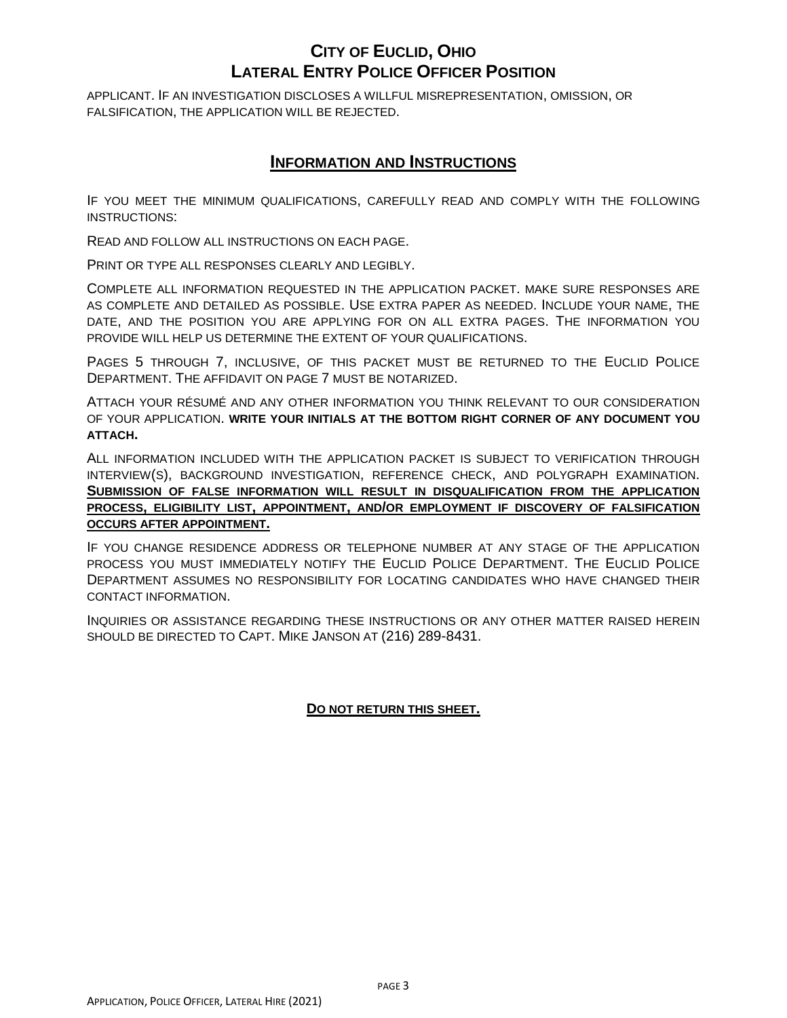APPLICANT. IF AN INVESTIGATION DISCLOSES A WILLFUL MISREPRESENTATION, OMISSION, OR FALSIFICATION, THE APPLICATION WILL BE REJECTED.

### **INFORMATION AND INSTRUCTIONS**

IF YOU MEET THE MINIMUM QUALIFICATIONS, CAREFULLY READ AND COMPLY WITH THE FOLLOWING INSTRUCTIONS:

READ AND FOLLOW ALL INSTRUCTIONS ON EACH PAGE.

PRINT OR TYPE ALL RESPONSES CLEARLY AND LEGIBLY.

COMPLETE ALL INFORMATION REQUESTED IN THE APPLICATION PACKET. MAKE SURE RESPONSES ARE AS COMPLETE AND DETAILED AS POSSIBLE. USE EXTRA PAPER AS NEEDED. INCLUDE YOUR NAME, THE DATE, AND THE POSITION YOU ARE APPLYING FOR ON ALL EXTRA PAGES. THE INFORMATION YOU PROVIDE WILL HELP US DETERMINE THE EXTENT OF YOUR QUALIFICATIONS.

PAGES 5 THROUGH 7, INCLUSIVE, OF THIS PACKET MUST BE RETURNED TO THE EUCLID POLICE DEPARTMENT. THE AFFIDAVIT ON PAGE 7 MUST BE NOTARIZED.

ATTACH YOUR RÉSUMÉ AND ANY OTHER INFORMATION YOU THINK RELEVANT TO OUR CONSIDERATION OF YOUR APPLICATION. **WRITE YOUR INITIALS AT THE BOTTOM RIGHT CORNER OF ANY DOCUMENT YOU ATTACH.**

ALL INFORMATION INCLUDED WITH THE APPLICATION PACKET IS SUBJECT TO VERIFICATION THROUGH INTERVIEW(S), BACKGROUND INVESTIGATION, REFERENCE CHECK, AND POLYGRAPH EXAMINATION. **SUBMISSION OF FALSE INFORMATION WILL RESULT IN DISQUALIFICATION FROM THE APPLICATION PROCESS, ELIGIBILITY LIST, APPOINTMENT, AND/OR EMPLOYMENT IF DISCOVERY OF FALSIFICATION OCCURS AFTER APPOINTMENT.**

IF YOU CHANGE RESIDENCE ADDRESS OR TELEPHONE NUMBER AT ANY STAGE OF THE APPLICATION PROCESS YOU MUST IMMEDIATELY NOTIFY THE EUCLID POLICE DEPARTMENT. THE EUCLID POLICE DEPARTMENT ASSUMES NO RESPONSIBILITY FOR LOCATING CANDIDATES WHO HAVE CHANGED THEIR CONTACT INFORMATION.

INQUIRIES OR ASSISTANCE REGARDING THESE INSTRUCTIONS OR ANY OTHER MATTER RAISED HEREIN SHOULD BE DIRECTED TO CAPT. MIKE JANSON AT (216) 289-8431.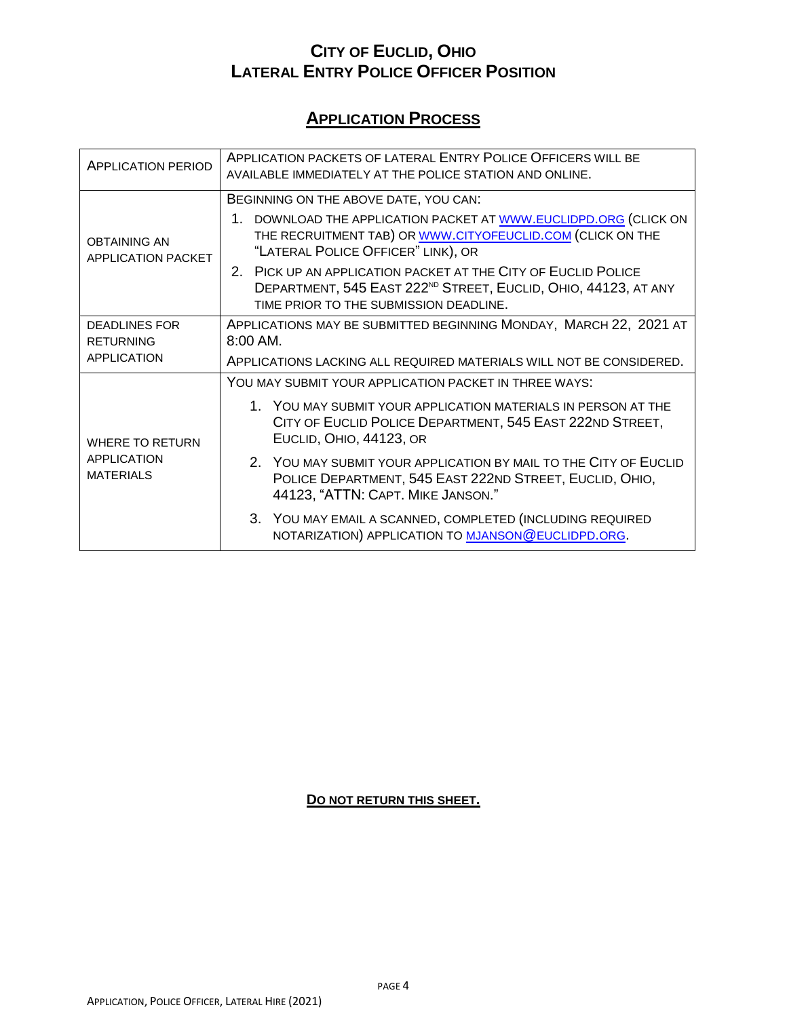# **APPLICATION PROCESS**

| <b>APPLICATION PERIOD</b>                 | APPLICATION PACKETS OF LATERAL ENTRY POLICE OFFICERS WILL BE<br>AVAILABLE IMMEDIATELY AT THE POLICE STATION AND ONLINE.                                                               |  |  |  |  |
|-------------------------------------------|---------------------------------------------------------------------------------------------------------------------------------------------------------------------------------------|--|--|--|--|
|                                           | BEGINNING ON THE ABOVE DATE, YOU CAN:                                                                                                                                                 |  |  |  |  |
| <b>OBTAINING AN</b><br>APPLICATION PACKET | 1. DOWNLOAD THE APPLICATION PACKET AT WWW.EUCLIDPD.ORG (CLICK ON<br>THE RECRUITMENT TAB) OR WWW.CITYOFEUCLID.COM (CLICK ON THE<br>"LATERAL POLICE OFFICER" LINK), OR                  |  |  |  |  |
|                                           | 2. PICK UP AN APPLICATION PACKET AT THE CITY OF EUCLID POLICE<br>DEPARTMENT, 545 EAST 222 <sup>ND</sup> STREET, EUCLID, OHIO, 44123, AT ANY<br>TIME PRIOR TO THE SUBMISSION DEADLINE. |  |  |  |  |
| <b>DEADLINES FOR</b>                      | APPLICATIONS MAY BE SUBMITTED BEGINNING MONDAY, MARCH 22, 2021 AT                                                                                                                     |  |  |  |  |
| <b>RETURNING</b>                          | $8:00$ AM.                                                                                                                                                                            |  |  |  |  |
| <b>APPLICATION</b>                        | APPLICATIONS LACKING ALL REQUIRED MATERIALS WILL NOT BE CONSIDERED.                                                                                                                   |  |  |  |  |
|                                           | YOU MAY SUBMIT YOUR APPLICATION PACKET IN THREE WAYS:                                                                                                                                 |  |  |  |  |
| <b>WHERE TO RETURN</b>                    | 1. YOU MAY SUBMIT YOUR APPLICATION MATERIALS IN PERSON AT THE<br>CITY OF EUCLID POLICE DEPARTMENT, 545 EAST 222ND STREET,<br>EUCLID, OHIO, 44123, OR                                  |  |  |  |  |
| <b>APPLICATION</b><br><b>MATERIALS</b>    | 2. YOU MAY SUBMIT YOUR APPLICATION BY MAIL TO THE CITY OF EUCLID<br>POLICE DEPARTMENT, 545 EAST 222ND STREET, EUCLID, OHIO,<br>44123, "ATTN: CAPT. MIKE JANSON."                      |  |  |  |  |
|                                           | 3. YOU MAY EMAIL A SCANNED, COMPLETED (INCLUDING REQUIRED<br>NOTARIZATION) APPLICATION TO MJANSON @EUCLIDPD.ORG.                                                                      |  |  |  |  |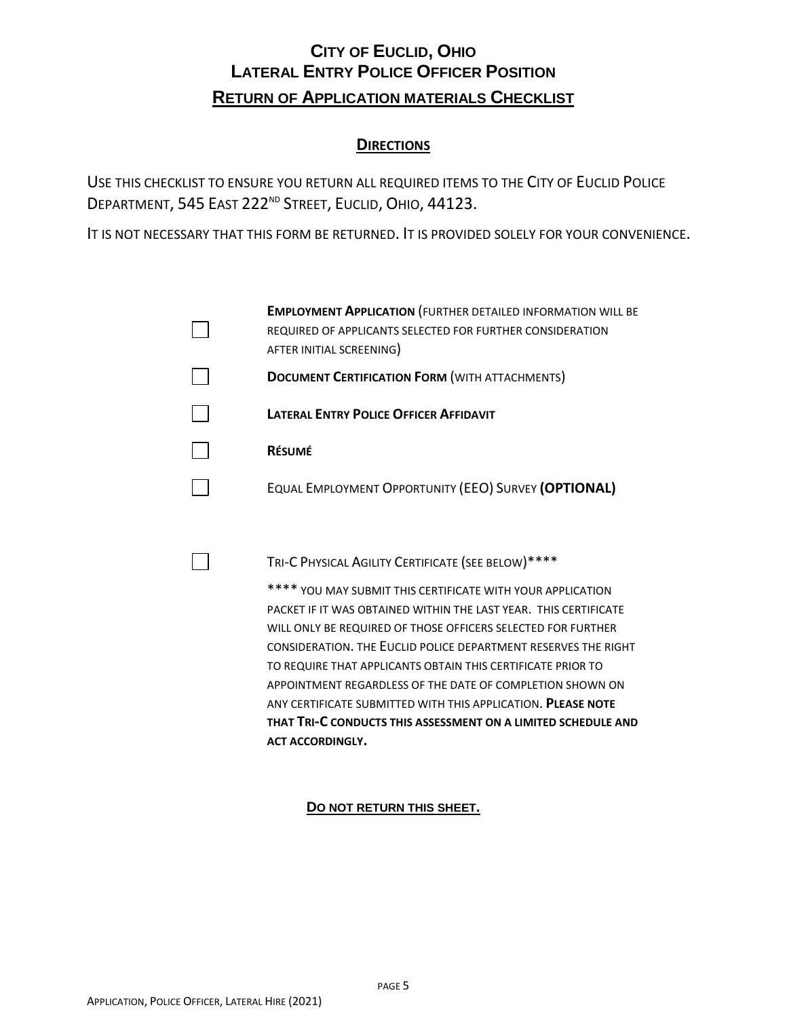# **CITY OF EUCLID, OHIO LATERAL ENTRY POLICE OFFICER POSITION RETURN OF APPLICATION MATERIALS CHECKLIST**

### **DIRECTIONS**

USE THIS CHECKLIST TO ENSURE YOU RETURN ALL REQUIRED ITEMS TO THE CITY OF EUCLID POLICE DEPARTMENT, 545 EAST 222<sup>ND</sup> STREET, EUCLID, OHIO, 44123.

IT IS NOT NECESSARY THAT THIS FORM BE RETURNED. IT IS PROVIDED SOLELY FOR YOUR CONVENIENCE.

| <b>EMPLOYMENT APPLICATION (FURTHER DETAILED INFORMATION WILL BE</b>                   |
|---------------------------------------------------------------------------------------|
| REQUIRED OF APPLICANTS SELECTED FOR FURTHER CONSIDERATION<br>AFTER INITIAL SCREENING) |
| <b>DOCUMENT CERTIFICATION FORM (WITH ATTACHMENTS)</b>                                 |
| <b>LATERAL ENTRY POLICE OFFICER AFFIDAVIT</b>                                         |
| <b>RÉSUMÉ</b>                                                                         |
| EQUAL EMPLOYMENT OPPORTUNITY (EEO) SURVEY (OPTIONAL)                                  |

TRI-C PHYSICAL AGILITY CERTIFICATE (SEE BELOW)\*\*\*\*

\*\*\*\* YOU MAY SUBMIT THIS CERTIFICATE WITH YOUR APPLICATION PACKET IF IT WAS OBTAINED WITHIN THE LAST YEAR. THIS CERTIFICATE WILL ONLY BE REQUIRED OF THOSE OFFICERS SELECTED FOR FURTHER CONSIDERATION. THE EUCLID POLICE DEPARTMENT RESERVES THE RIGHT TO REQUIRE THAT APPLICANTS OBTAIN THIS CERTIFICATE PRIOR TO APPOINTMENT REGARDLESS OF THE DATE OF COMPLETION SHOWN ON ANY CERTIFICATE SUBMITTED WITH THIS APPLICATION. **PLEASE NOTE THAT TRI-C CONDUCTS THIS ASSESSMENT ON A LIMITED SCHEDULE AND ACT ACCORDINGLY.**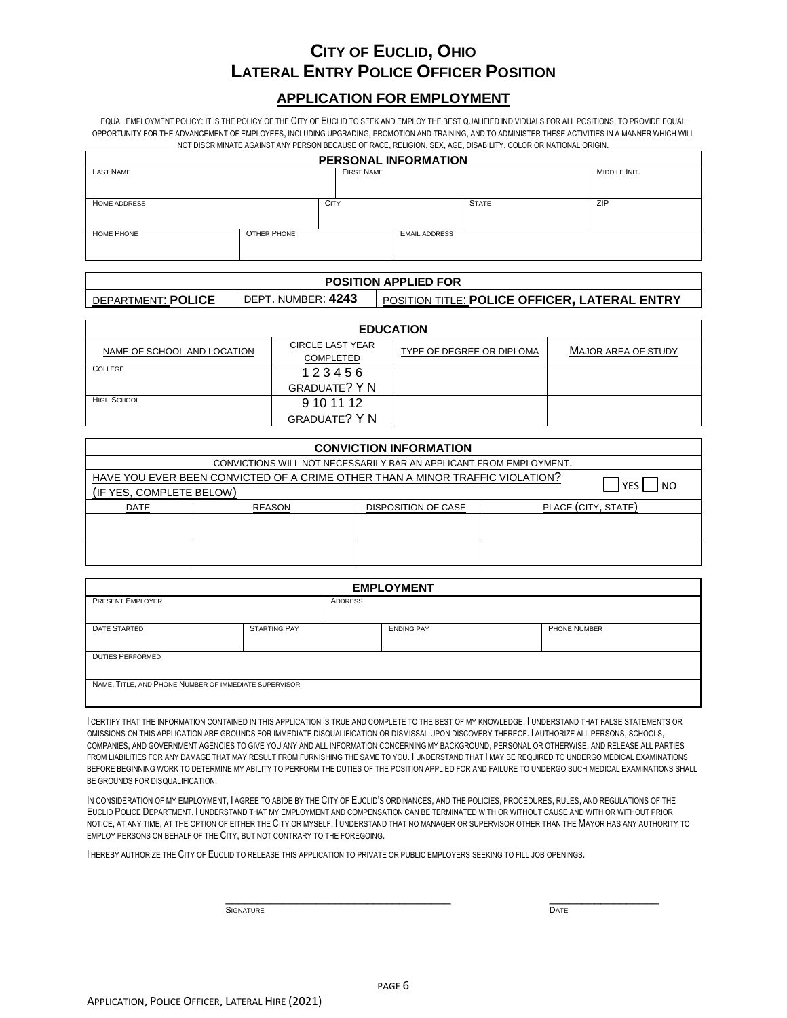### **APPLICATION FOR EMPLOYMENT**

EQUAL EMPLOYMENT POLICY: IT IS THE POLICY OF THE CITY OF EUCLID TO SEEK AND EMPLOY THE BEST QUALIFIED INDIVIDUALS FOR ALL POSITIONS, TO PROVIDE EQUAL OPPORTUNITY FOR THE ADVANCEMENT OF EMPLOYEES, INCLUDING UPGRADING, PROMOTION AND TRAINING, AND TO ADMINISTER THESE ACTIVITIES IN A MANNER WHICH WILL NOT DISCRIMINATE AGAINST ANY PERSON BECAUSE OF RACE, RELIGION, SEX, AGE, DISABILITY, COLOR OR NATIONAL ORIGIN.

| <b>PERSONAL INFORMATION</b> |                    |                   |                      |               |     |
|-----------------------------|--------------------|-------------------|----------------------|---------------|-----|
| <b>LAST NAME</b>            |                    | <b>FIRST NAME</b> |                      | MIDDILE INIT. |     |
|                             |                    |                   |                      |               |     |
| <b>HOME ADDRESS</b>         | <b>CITY</b>        |                   |                      | <b>STATE</b>  | ZIP |
|                             |                    |                   |                      |               |     |
| <b>HOME PHONE</b>           | <b>OTHER PHONE</b> |                   | <b>EMAIL ADDRESS</b> |               |     |
|                             |                    |                   |                      |               |     |

| <b>POSITION APPLIED FOR</b> |                    |                                               |  |
|-----------------------------|--------------------|-----------------------------------------------|--|
| DEPARTMENT: POLICE          | DEPT. NUMBER: 4243 | POSITION TITLE: POLICE OFFICER, LATERAL ENTRY |  |

| <b>EDUCATION</b>            |                                      |                           |                     |  |  |
|-----------------------------|--------------------------------------|---------------------------|---------------------|--|--|
| NAME OF SCHOOL AND LOCATION | <b>CIRCLE LAST YEAR</b><br>COMPLETED | TYPE OF DEGREE OR DIPLOMA | MAJOR AREA OF STUDY |  |  |
| COLLEGE                     | 123456                               |                           |                     |  |  |
|                             | <b>GRADUATE? Y N</b>                 |                           |                     |  |  |
| <b>HIGH SCHOOL</b>          | 9 10 11 12                           |                           |                     |  |  |
|                             | <b>GRADUATE? Y N</b>                 |                           |                     |  |  |

| <b>CONVICTION INFORMATION</b>                                                                                                      |               |                                                                    |  |                     |  |  |
|------------------------------------------------------------------------------------------------------------------------------------|---------------|--------------------------------------------------------------------|--|---------------------|--|--|
|                                                                                                                                    |               | CONVICTIONS WILL NOT NECESSARILY BAR AN APPLICANT FROM EMPLOYMENT. |  |                     |  |  |
| HAVE YOU EVER BEEN CONVICTED OF A CRIME OTHER THAN A MINOR TRAFFIC VIOLATION?<br>YES<br>N <sub>O</sub><br>(IF YES, COMPLETE BELOW) |               |                                                                    |  |                     |  |  |
| <b>DATE</b>                                                                                                                        | <b>REASON</b> | <b>DISPOSITION OF CASE</b>                                         |  | PLACE (CITY, STATE) |  |  |
|                                                                                                                                    |               |                                                                    |  |                     |  |  |
|                                                                                                                                    |               |                                                                    |  |                     |  |  |

| <b>EMPLOYMENT</b>                                     |                     |         |                   |                     |  |
|-------------------------------------------------------|---------------------|---------|-------------------|---------------------|--|
| <b>PRESENT EMPLOYER</b>                               |                     | ADDRESS |                   |                     |  |
| <b>DATE STARTED</b>                                   | <b>STARTING PAY</b> |         | <b>ENDING PAY</b> | <b>PHONE NUMBER</b> |  |
| <b>DUTIES PERFORMED</b>                               |                     |         |                   |                     |  |
| NAME, TITLE, AND PHONE NUMBER OF IMMEDIATE SUPERVISOR |                     |         |                   |                     |  |

I CERTIFY THAT THE INFORMATION CONTAINED IN THIS APPLICATION IS TRUE AND COMPLETE TO THE BEST OF MY KNOWLEDGE. I UNDERSTAND THAT FALSE STATEMENTS OR OMISSIONS ON THIS APPLICATION ARE GROUNDS FOR IMMEDIATE DISQUALIFICATION OR DISMISSAL UPON DISCOVERY THEREOF. I AUTHORIZE ALL PERSONS, SCHOOLS, COMPANIES, AND GOVERNMENT AGENCIES TO GIVE YOU ANY AND ALL INFORMATION CONCERNING MY BACKGROUND, PERSONAL OR OTHERWISE, AND RELEASE ALL PARTIES FROM LIABILITIES FOR ANY DAMAGE THAT MAY RESULT FROM FURNISHING THE SAME TO YOU. I UNDERSTAND THAT I MAY BE REQUIRED TO UNDERGO MEDICAL EXAMINATIONS BEFORE BEGINNING WORK TO DETERMINE MY ABILITY TO PERFORM THE DUTIES OF THE POSITION APPLIED FOR AND FAILURE TO UNDERGO SUCH MEDICAL EXAMINATIONS SHALL BE GROUNDS FOR DISQUALIFICATION.

IN CONSIDERATION OF MY EMPLOYMENT, I AGREE TO ABIDE BY THE CITY OF EUCLID'S ORDINANCES, AND THE POLICIES, PROCEDURES, RULES, AND REGULATIONS OF THE EUCLID POLICE DEPARTMENT. I UNDERSTAND THAT MY EMPLOYMENT AND COMPENSATION CAN BE TERMINATED WITH OR WITHOUT CAUSE AND WITH OR WITHOUT PRIOR NOTICE, AT ANY TIME, AT THE OPTION OF EITHER THE CITY OR MYSELF. I UNDERSTAND THAT NO MANAGER OR SUPERVISOR OTHER THAN THE MAYOR HAS ANY AUTHORITY TO EMPLOY PERSONS ON BEHALF OF THE CITY, BUT NOT CONTRARY TO THE FOREGOING.

I HEREBY AUTHORIZE THE CITY OF EUCLID TO RELEASE THIS APPLICATION TO PRIVATE OR PUBLIC EMPLOYERS SEEKING TO FILL JOB OPENINGS.

 $\frac{1}{2}$  ,  $\frac{1}{2}$  ,  $\frac{1}{2}$  ,  $\frac{1}{2}$  ,  $\frac{1}{2}$  ,  $\frac{1}{2}$  ,  $\frac{1}{2}$  ,  $\frac{1}{2}$  ,  $\frac{1}{2}$  ,  $\frac{1}{2}$  ,  $\frac{1}{2}$  ,  $\frac{1}{2}$  ,  $\frac{1}{2}$  ,  $\frac{1}{2}$  ,  $\frac{1}{2}$  ,  $\frac{1}{2}$  ,  $\frac{1}{2}$  ,  $\frac{1}{2}$  ,  $\frac{1$ **SIGNATURE** DATE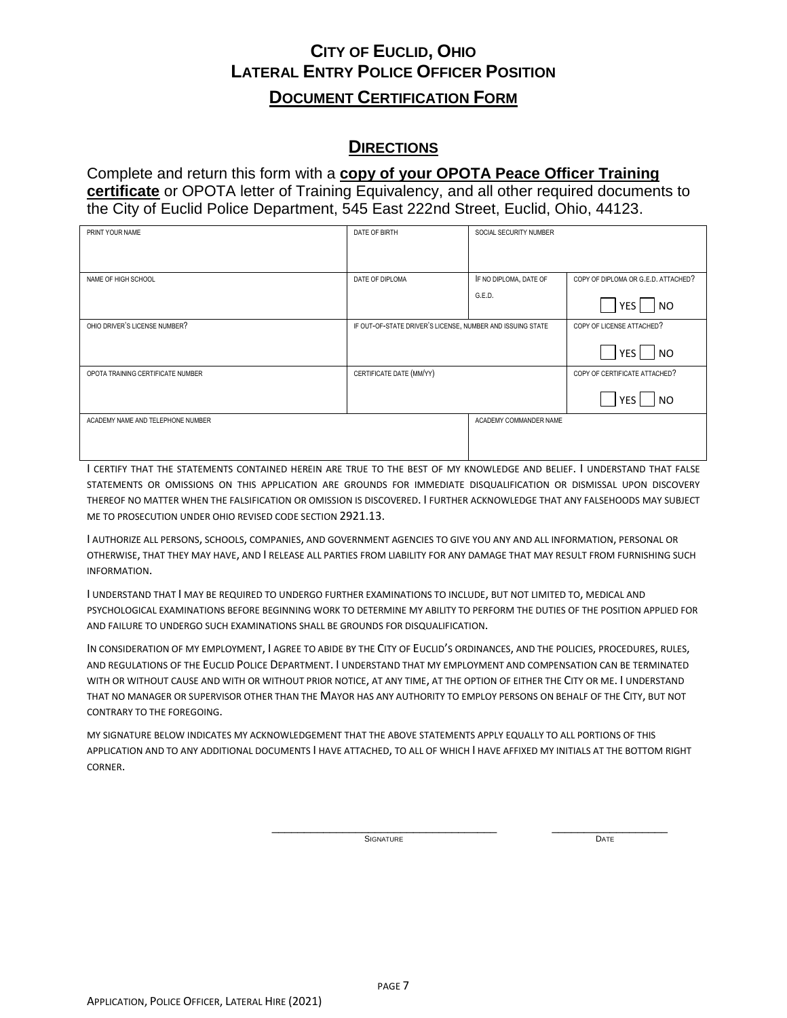## **CITY OF EUCLID, OHIO LATERAL ENTRY POLICE OFFICER POSITION DOCUMENT CERTIFICATION FORM**

## **DIRECTIONS**

Complete and return this form with a **copy of your OPOTA Peace Officer Training certificate** or OPOTA letter of Training Equivalency, and all other required documents to the City of Euclid Police Department, 545 East 222nd Street, Euclid, Ohio, 44123.

| PRINT YOUR NAME                   | DATE OF BIRTH                                              | SOCIAL SECURITY NUMBER           |                                                   |
|-----------------------------------|------------------------------------------------------------|----------------------------------|---------------------------------------------------|
| NAME OF HIGH SCHOOL               | DATE OF DIPLOMA                                            | IF NO DIPLOMA, DATE OF<br>G.E.D. | COPY OF DIPLOMA OR G.E.D. ATTACHED?<br> NO<br>YES |
| OHIO DRIVER'S LICENSE NUMBER?     | IF OUT-OF-STATE DRIVER'S LICENSE, NUMBER AND ISSUING STATE |                                  | COPY OF LICENSE ATTACHED?<br> NO<br>YES           |
| OPOTA TRAINING CERTIFICATE NUMBER | CERTIFICATE DATE (MM/YY)                                   |                                  | COPY OF CERTIFICATE ATTACHED?<br>NO<br>YES        |
| ACADEMY NAME AND TELEPHONE NUMBER |                                                            | ACADEMY COMMANDER NAME           |                                                   |

I CERTIFY THAT THE STATEMENTS CONTAINED HEREIN ARE TRUE TO THE BEST OF MY KNOWLEDGE AND BELIEF. I UNDERSTAND THAT FALSE STATEMENTS OR OMISSIONS ON THIS APPLICATION ARE GROUNDS FOR IMMEDIATE DISQUALIFICATION OR DISMISSAL UPON DISCOVERY THEREOF NO MATTER WHEN THE FALSIFICATION OR OMISSION IS DISCOVERED. I FURTHER ACKNOWLEDGE THAT ANY FALSEHOODS MAY SUBJECT ME TO PROSECUTION UNDER OHIO REVISED CODE SECTION 2921.13.

I AUTHORIZE ALL PERSONS, SCHOOLS, COMPANIES, AND GOVERNMENT AGENCIES TO GIVE YOU ANY AND ALL INFORMATION, PERSONAL OR OTHERWISE, THAT THEY MAY HAVE, AND I RELEASE ALL PARTIES FROM LIABILITY FOR ANY DAMAGE THAT MAY RESULT FROM FURNISHING SUCH INFORMATION.

I UNDERSTAND THAT I MAY BE REQUIRED TO UNDERGO FURTHER EXAMINATIONS TO INCLUDE, BUT NOT LIMITED TO, MEDICAL AND PSYCHOLOGICAL EXAMINATIONS BEFORE BEGINNING WORK TO DETERMINE MY ABILITY TO PERFORM THE DUTIES OF THE POSITION APPLIED FOR AND FAILURE TO UNDERGO SUCH EXAMINATIONS SHALL BE GROUNDS FOR DISQUALIFICATION.

IN CONSIDERATION OF MY EMPLOYMENT, I AGREE TO ABIDE BY THE CITY OF EUCLID'S ORDINANCES, AND THE POLICIES, PROCEDURES, RULES, AND REGULATIONS OF THE EUCLID POLICE DEPARTMENT. I UNDERSTAND THAT MY EMPLOYMENT AND COMPENSATION CAN BE TERMINATED WITH OR WITHOUT CAUSE AND WITH OR WITHOUT PRIOR NOTICE, AT ANY TIME, AT THE OPTION OF EITHER THE CITY OR ME. I UNDERSTAND THAT NO MANAGER OR SUPERVISOR OTHER THAN THE MAYOR HAS ANY AUTHORITY TO EMPLOY PERSONS ON BEHALF OF THE CITY, BUT NOT CONTRARY TO THE FOREGOING.

MY SIGNATURE BELOW INDICATES MY ACKNOWLEDGEMENT THAT THE ABOVE STATEMENTS APPLY EQUALLY TO ALL PORTIONS OF THIS APPLICATION AND TO ANY ADDITIONAL DOCUMENTS I HAVE ATTACHED, TO ALL OF WHICH I HAVE AFFIXED MY INITIALS AT THE BOTTOM RIGHT CORNER.

> \_\_\_\_\_\_\_\_\_\_\_\_\_\_\_\_\_\_\_\_\_\_\_\_\_\_\_\_\_\_\_\_\_\_\_ \_\_\_\_\_\_\_\_\_\_\_\_\_\_\_\_\_\_ SIGNATURE DATE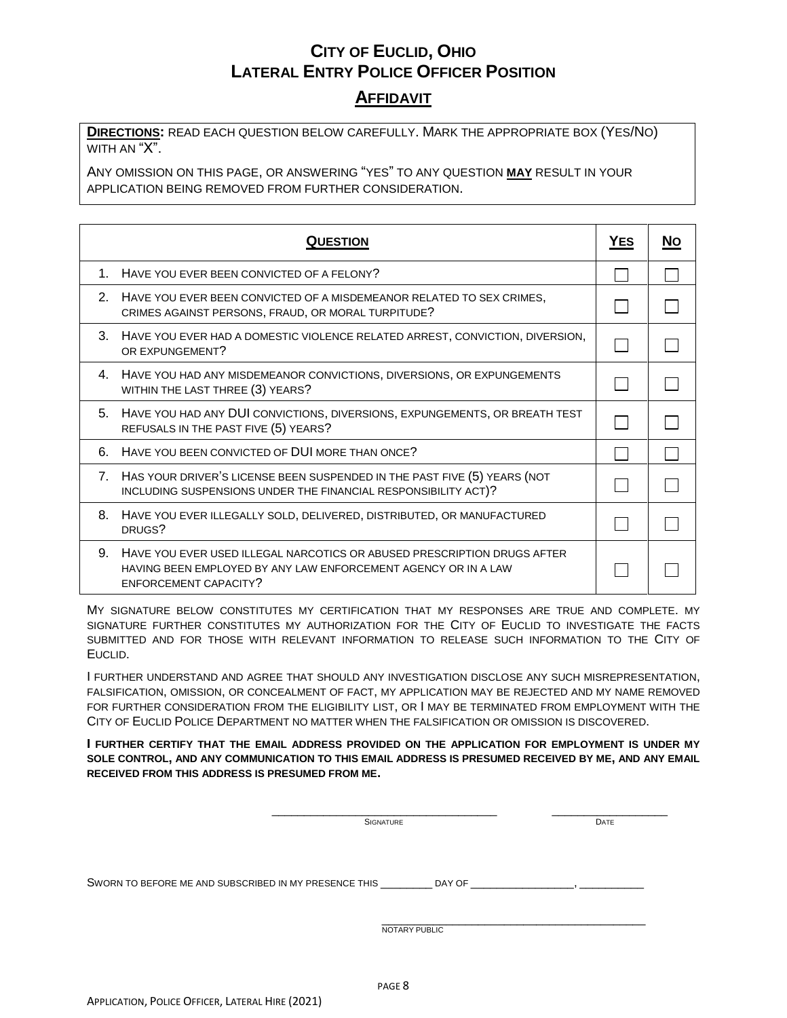### **AFFIDAVIT**

**DIRECTIONS:** READ EACH QUESTION BELOW CAREFULLY. MARK THE APPROPRIATE BOX (YES/NO) WITH AN "X".

ANY OMISSION ON THIS PAGE, OR ANSWERING "YES" TO ANY QUESTION **MAY** RESULT IN YOUR APPLICATION BEING REMOVED FROM FURTHER CONSIDERATION.

|    | <b>QUESTION</b>                                                                                                                                                    | <b>YES</b> | <b>NO</b> |
|----|--------------------------------------------------------------------------------------------------------------------------------------------------------------------|------------|-----------|
|    | 1. HAVE YOU EVER BEEN CONVICTED OF A FELONY?                                                                                                                       |            |           |
|    | 2. HAVE YOU EVER BEEN CONVICTED OF A MISDEMEANOR RELATED TO SEX CRIMES,<br>CRIMES AGAINST PERSONS, FRAUD, OR MORAL TURPITUDE?                                      |            |           |
|    | 3. HAVE YOU EVER HAD A DOMESTIC VIOLENCE RELATED ARREST, CONVICTION, DIVERSION,<br>OR EXPUNGEMENT?                                                                 |            |           |
|    | 4. HAVE YOU HAD ANY MISDEMEANOR CONVICTIONS, DIVERSIONS, OR EXPUNGEMENTS<br>WITHIN THE LAST THREE (3) YEARS?                                                       |            |           |
| 5. | HAVE YOU HAD ANY DUI CONVICTIONS, DIVERSIONS, EXPUNGEMENTS, OR BREATH TEST<br>REFUSALS IN THE PAST FIVE (5) YEARS?                                                 |            |           |
| 6. | HAVE YOU BEEN CONVICTED OF DUI MORE THAN ONCE?                                                                                                                     |            |           |
|    | 7. HAS YOUR DRIVER'S LICENSE BEEN SUSPENDED IN THE PAST FIVE (5) YEARS (NOT<br>INCLUDING SUSPENSIONS UNDER THE FINANCIAL RESPONSIBILITY ACT)?                      |            |           |
| 8. | HAVE YOU EVER ILLEGALLY SOLD, DELIVERED, DISTRIBUTED, OR MANUFACTURED<br>DRUGS?                                                                                    |            |           |
| 9. | HAVE YOU EVER USED ILLEGAL NARCOTICS OR ABUSED PRESCRIPTION DRUGS AFTER<br>HAVING BEEN EMPLOYED BY ANY LAW ENFORCEMENT AGENCY OR IN A LAW<br>ENFORCEMENT CAPACITY? |            |           |

MY SIGNATURE BELOW CONSTITUTES MY CERTIFICATION THAT MY RESPONSES ARE TRUE AND COMPLETE. MY SIGNATURE FURTHER CONSTITUTES MY AUTHORIZATION FOR THE CITY OF EUCLID TO INVESTIGATE THE FACTS SUBMITTED AND FOR THOSE WITH RELEVANT INFORMATION TO RELEASE SUCH INFORMATION TO THE CITY OF EUCLID.

I FURTHER UNDERSTAND AND AGREE THAT SHOULD ANY INVESTIGATION DISCLOSE ANY SUCH MISREPRESENTATION, FALSIFICATION, OMISSION, OR CONCEALMENT OF FACT, MY APPLICATION MAY BE REJECTED AND MY NAME REMOVED FOR FURTHER CONSIDERATION FROM THE ELIGIBILITY LIST, OR I MAY BE TERMINATED FROM EMPLOYMENT WITH THE CITY OF EUCLID POLICE DEPARTMENT NO MATTER WHEN THE FALSIFICATION OR OMISSION IS DISCOVERED.

**I FURTHER CERTIFY THAT THE EMAIL ADDRESS PROVIDED ON THE APPLICATION FOR EMPLOYMENT IS UNDER MY SOLE CONTROL, AND ANY COMMUNICATION TO THIS EMAIL ADDRESS IS PRESUMED RECEIVED BY ME, AND ANY EMAIL RECEIVED FROM THIS ADDRESS IS PRESUMED FROM ME.**

|                                                       | <b>SIGNATURE</b> | DATE |
|-------------------------------------------------------|------------------|------|
|                                                       |                  |      |
| SWORN TO BEFORE ME AND SUBSCRIBED IN MY PRESENCE THIS | DAY OF           |      |
|                                                       |                  |      |
|                                                       | NOTARY PUBLIC    |      |
|                                                       |                  |      |